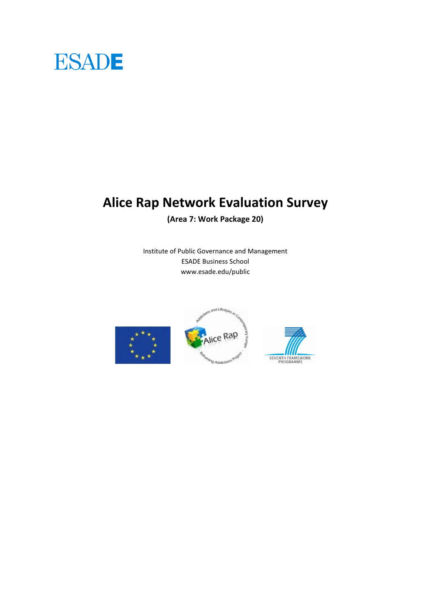# **ESADE**

## **Alice Rap Network Evaluation Survey**

**(Area 7: Work Package 20)**

Institute of Public Governance and Management ESADE Business School www.esade.edu/public

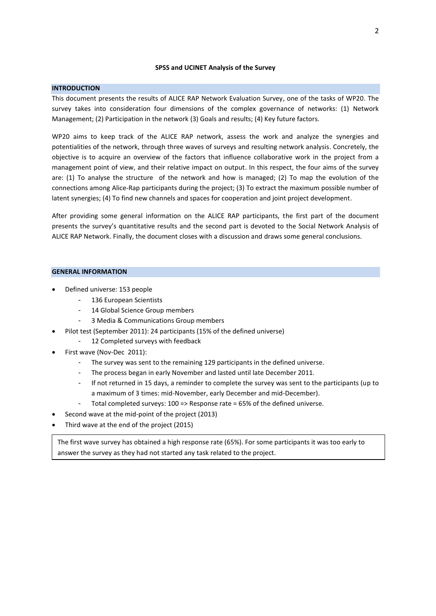### **SPSS and UCINET Analysis of the Survey**

### **INTRODUCTION**

This document presents the results of ALICE RAP Network Evaluation Survey, one of the tasks of WP20. The survey takes into consideration four dimensions of the complex governance of networks: (1) Network Management; (2) Participation in the network (3) Goals and results; (4) Key future factors.

WP20 aims to keep track of the ALICE RAP network, assess the work and analyze the synergies and potentialities of the network, through three waves of surveys and resulting network analysis. Concretely, the objective is to acquire an overview of the factors that influence collaborative work in the project from a management point of view, and their relative impact on output. In this respect, the four aims of the survey are: (1) To analyse the structure of the network and how is managed; (2) To map the evolution of the connections among Alice-Rap participants during the project; (3) To extract the maximum possible number of latent synergies; (4) To find new channels and spaces for cooperation and joint project development.

After providing some general information on the ALICE RAP participants, the first part of the document presents the survey's quantitative results and the second part is devoted to the Social Network Analysis of ALICE RAP Network. Finally, the document closes with a discussion and draws some general conclusions.

### **GENERAL INFORMATION**

- Defined universe: 153 people
	- 136 European Scientists
	- 14 Global Science Group members
	- 3 Media & Communications Group members
	- Pilot test (September 2011): 24 participants (15% of the defined universe)
		- 12 Completed surveys with feedback
- First wave (Nov-Dec 2011):
	- The survey was sent to the remaining 129 participants in the defined universe.
	- The process began in early November and lasted until late December 2011.
	- If not returned in 15 days, a reminder to complete the survey was sent to the participants (up to a maximum of 3 times: mid-November, early December and mid-December).
	- Total completed surveys: 100 => Response rate = 65% of the defined universe.
- Second wave at the mid-point of the project (2013)
- Third wave at the end of the project (2015)

The first wave survey has obtained a high response rate (65%). For some participants it was too early to answer the survey as they had not started any task related to the project.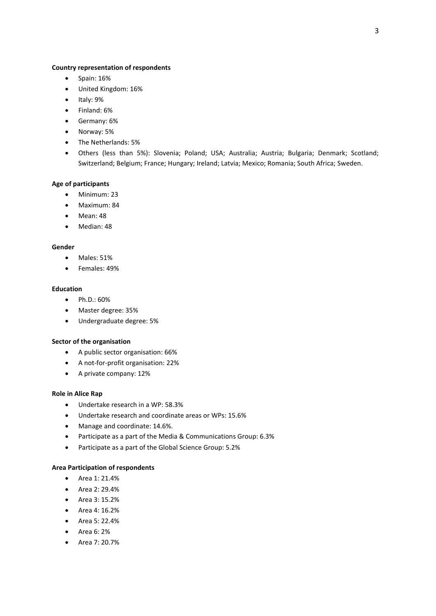### **Country representation of respondents**

- $\bullet$  Spain: 16%
- United Kingdom: 16%
- $\bullet$  Italy: 9%
- Finland: 6%
- Germany: 6%
- Norway: 5%
- The Netherlands: 5%
- Others (less than 5%): Slovenia; Poland; USA; Australia; Austria; Bulgaria; Denmark; Scotland; Switzerland; Belgium; France; Hungary; Ireland; Latvia; Mexico; Romania; South Africa; Sweden.

### **Age of participants**

- Minimum: 23
- Maximum: 84
- Mean: 48
- Median: 48

### **Gender**

- Males: 51%
- Females: 49%

### **Education**

- Ph.D.: 60%
- Master degree: 35%
- Undergraduate degree: 5%

### **Sector of the organisation**

- A public sector organisation: 66%
- A not-for-profit organisation: 22%
- A private company: 12%

### **Role in Alice Rap**

- Undertake research in a WP: 58.3%
- Undertake research and coordinate areas or WPs: 15.6%
- Manage and coordinate: 14.6%.
- Participate as a part of the Media & Communications Group: 6.3%
- Participate as a part of the Global Science Group: 5.2%

### **Area Participation of respondents**

- Area 1: 21.4%
- Area 2: 29.4%
- Area 3: 15.2%
- Area 4: 16.2%
- Area 5: 22.4%
- Area 6: 2%
- $\bullet$  Area 7: 20.7%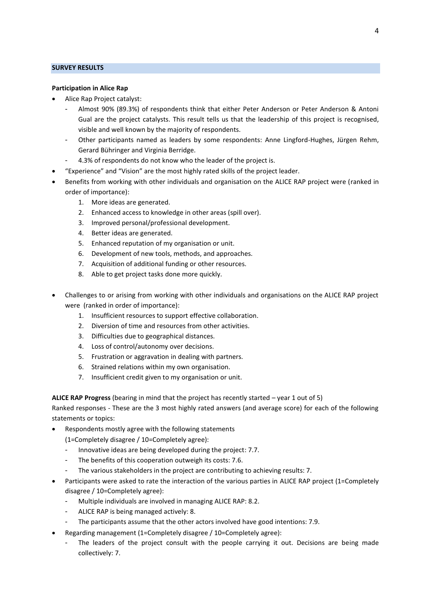### **SURVEY RESULTS**

### **Participation in Alice Rap**

- Alice Rap Project catalyst:
	- Almost 90% (89.3%) of respondents think that either Peter Anderson or Peter Anderson & Antoni Gual are the project catalysts. This result tells us that the leadership of this project is recognised, visible and well known by the majority of respondents.
	- Other participants named as leaders by some respondents: Anne Lingford-Hughes, Jürgen Rehm, Gerard Bühringer and Virginia Berridge.
	- 4.3% of respondents do not know who the leader of the project is.
- "Experience" and "Vision" are the most highly rated skills of the project leader.
- Benefits from working with other individuals and organisation on the ALICE RAP project were (ranked in order of importance):
	- 1. More ideas are generated.
	- 2. Enhanced access to knowledge in other areas (spill over).
	- 3. Improved personal/professional development.
	- 4. Better ideas are generated.
	- 5. Enhanced reputation of my organisation or unit.
	- 6. Development of new tools, methods, and approaches.
	- 7. Acquisition of additional funding or other resources.
	- 8. Able to get project tasks done more quickly.
- Challenges to or arising from working with other individuals and organisations on the ALICE RAP project were (ranked in order of importance):
	- 1. Insufficient resources to support effective collaboration.
	- 2. Diversion of time and resources from other activities.
	- 3. Difficulties due to geographical distances.
	- 4. Loss of control/autonomy over decisions.
	- 5. Frustration or aggravation in dealing with partners.
	- 6. Strained relations within my own organisation.
	- 7. Insufficient credit given to my organisation or unit.

**ALICE RAP Progress** (bearing in mind that the project has recently started – year 1 out of 5)

Ranked responses - These are the 3 most highly rated answers (and average score) for each of the following statements or topics:

Respondents mostly agree with the following statements

(1=Completely disagree / 10=Completely agree):

- Innovative ideas are being developed during the project: 7.7.
- The benefits of this cooperation outweigh its costs: 7.6.
- The various stakeholders in the project are contributing to achieving results: 7.
- Participants were asked to rate the interaction of the various parties in ALICE RAP project (1=Completely disagree / 10=Completely agree):
	- Multiple individuals are involved in managing ALICE RAP: 8.2.
	- ALICE RAP is being managed actively: 8.
	- The participants assume that the other actors involved have good intentions: 7.9.
- Regarding management (1=Completely disagree / 10=Completely agree):
	- The leaders of the project consult with the people carrying it out. Decisions are being made collectively: 7.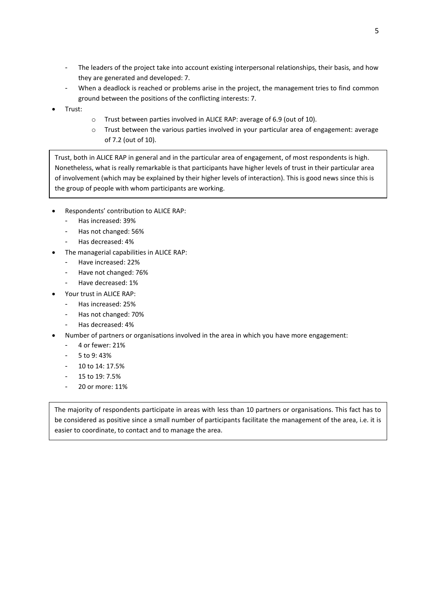- The leaders of the project take into account existing interpersonal relationships, their basis, and how they are generated and developed: 7.
- When a deadlock is reached or problems arise in the project, the management tries to find common ground between the positions of the conflicting interests: 7.
- Trust:
- o Trust between parties involved in ALICE RAP: average of 6.9 (out of 10).
- o Trust between the various parties involved in your particular area of engagement: average of 7.2 (out of 10).

Trust, both in ALICE RAP in general and in the particular area of engagement, of most respondents is high. Nonetheless, what is really remarkable is that participants have higher levels of trust in their particular area of involvement (which may be explained by their higher levels of interaction). This is good news since this is the group of people with whom participants are working.

- Respondents' contribution to ALICE RAP:
	- Has increased: 39%
	- Has not changed: 56%
	- Has decreased: 4%
- The managerial capabilities in ALICE RAP:
	- Have increased: 22%
	- Have not changed: 76%
	- Have decreased: 1%
- Your trust in ALICE RAP:
	- Has increased: 25%
	- Has not changed: 70%
	- Has decreased: 4%
- Number of partners or organisations involved in the area in which you have more engagement:
	- 4 or fewer: 21%
	- 5 to 9: 43%
	- 10 to 14: 17.5%
	- $15$  to  $19: 7.5%$
	- 20 or more: 11%

The majority of respondents participate in areas with less than 10 partners or organisations. This fact has to be considered as positive since a small number of participants facilitate the management of the area, i.e. it is easier to coordinate, to contact and to manage the area.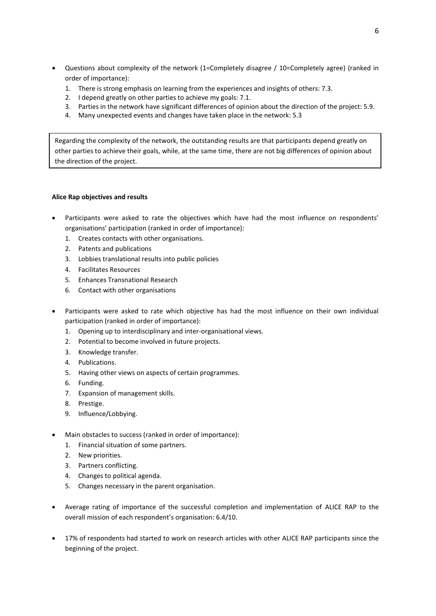- Questions about complexity of the network (1=Completely disagree / 10=Completely agree) (ranked in order of importance):
	- 1. There is strong emphasis on learning from the experiences and insights of others: 7.3.
	- 2. I depend greatly on other parties to achieve my goals: 7.1.
	- 3. Parties in the network have significant differences of opinion about the direction of the project: 5.9.
	- 4. Many unexpected events and changes have taken place in the network: 5.3

Regarding the complexity of the network, the outstanding results are that participants depend greatly on other parties to achieve their goals, while, at the same time, there are not big differences of opinion about the direction of the project.

### **Alice Rap objectives and results**

- Participants were asked to rate the objectives which have had the most influence on respondents' organisations' participation (ranked in order of importance):
	- 1. Creates contacts with other organisations.
	- 2. Patents and publications
	- 3. Lobbies translational results into public policies
	- 4. Facilitates Resources
	- 5. Enhances Transnational Research
	- 6. Contact with other organisations
- Participants were asked to rate which objective has had the most influence on their own individual participation (ranked in order of importance):
	- 1. Opening up to interdisciplinary and inter-organisational views.
	- 2. Potential to become involved in future projects.
	- 3. Knowledge transfer.
	- 4. Publications.
	- 5. Having other views on aspects of certain programmes.
	- 6. Funding.
	- 7. Expansion of management skills.
	- 8. Prestige.
	- 9. Influence/Lobbying.
- Main obstacles to success (ranked in order of importance):
	- 1. Financial situation of some partners.
	- 2. New priorities.
	- 3. Partners conflicting.
	- 4. Changes to political agenda.
	- 5. Changes necessary in the parent organisation.
- Average rating of importance of the successful completion and implementation of ALICE RAP to the overall mission of each respondent's organisation: 6.4/10.
- 17% of respondents had started to work on research articles with other ALICE RAP participants since the beginning of the project.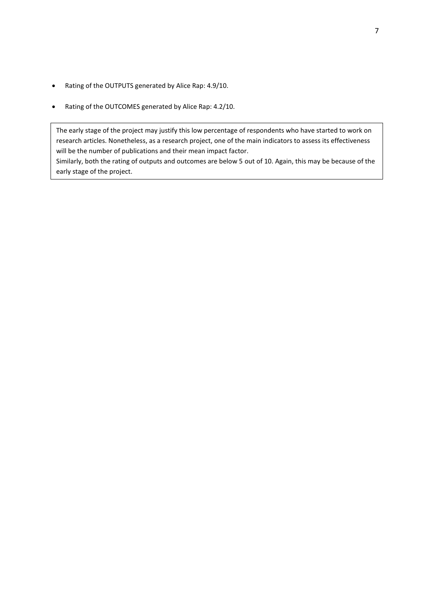- Rating of the OUTPUTS generated by Alice Rap: 4.9/10.
- Rating of the OUTCOMES generated by Alice Rap: 4.2/10.

The early stage of the project may justify this low percentage of respondents who have started to work on research articles. Nonetheless, as a research project, one of the main indicators to assess its effectiveness will be the number of publications and their mean impact factor.

Similarly, both the rating of outputs and outcomes are below 5 out of 10. Again, this may be because of the early stage of the project.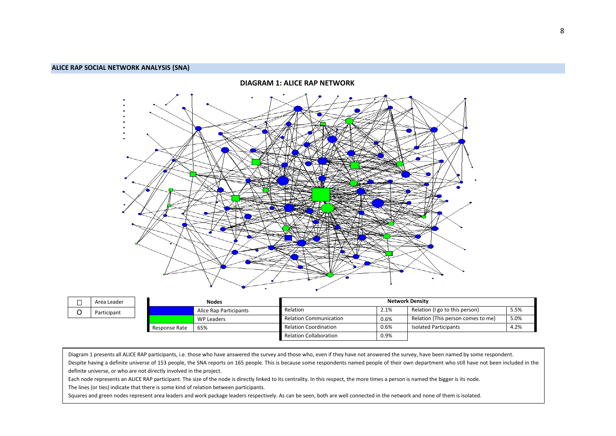

|  | Area Leader | <b>Nodes</b>  |                        | <b>Network Density</b>        |      |                                    |      |
|--|-------------|---------------|------------------------|-------------------------------|------|------------------------------------|------|
|  | Participant |               | Alice Rap Participants | Relation                      | 2.1% | Relation (I go to this person)     | 5.5% |
|  |             |               | WP Leaders             | <b>Relation Communication</b> | 0.6% | Relation (This person comes to me) | 5.0% |
|  |             | Response Rate | 65%                    | <b>Relation Coordination</b>  | 0.6% | <b>Isolated Participants</b>       | 4.2% |
|  |             |               |                        | <b>Relation Collaboration</b> | 0.9% |                                    |      |

Diagram 1 presents all ALICE RAP participants, i.e. those who have answered the survey and those who, even if they have not answered the survey, have been named by some respondent. Despite having a definite universe of 153 people, the SNA reports on 165 people. This is because some respondents named people of their own department who still have not been included in the definite universe, or who are not directly involved in the project.

Each node represents an ALICE RAP participant. The size of the node is directly linked to its centrality. In this respect, the more times a person is named the bigger is its node. The lines (or ties) indicate that there is some kind of relation between participants.

Squares and green nodes represent area leaders and work package leaders respectively. As can be seen, both are well connected in the network and none of them is isolated.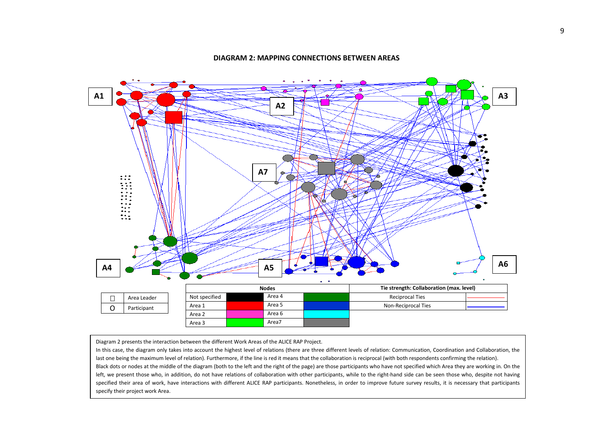

### **DIAGRAM 2: MAPPING CONNECTIONS BETWEEN AREAS**

Diagram 2 presents the interaction between the different Work Areas of the ALICE RAP Project.

In this case, the diagram only takes into account the highest level of relations (there are three different levels of relation: Communication, Coordination and Collaboration, the last one being the maximum level of relation). Furthermore, if the line is red it means that the collaboration is reciprocal (with both respondents confirming the relation). Black dots or nodes at the middle of the diagram (both to the left and the right of the page) are those participants who have not specified which Area they are working in. On the left, we present those who, in addition, do not have relations of collaboration with other participants, while to the right-hand side can be seen those who, despite not having specified their area of work, have interactions with different ALICE RAP participants. Nonetheless, in order to improve future survey results, it is necessary that participants specify their project work Area.

As can be seen, there is collaboration between most of the areas. Only areas, only are as  $\alpha$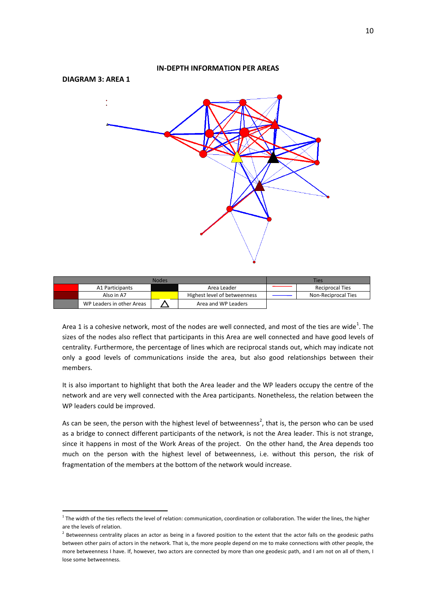# **IN-DEPTH INFORMATION PER AREAS DIAGRAM 3: AREA 1**

| <b>Nodes</b> |                           |  |                              |  | <b>Ties</b>            |
|--------------|---------------------------|--|------------------------------|--|------------------------|
|              | A1 Participants           |  | Area Leader                  |  | <b>Reciprocal Ties</b> |
|              | Also in A7                |  | Highest level of betweenness |  | Non-Reciprocal Ties    |
|              | WP Leaders in other Areas |  | Area and WP Leaders          |  |                        |

Area 1 is a cohesive network, most of the nodes are well connected, and most of the ties are wide<sup>1</sup>. The sizes of the nodes also reflect that participants in this Area are well connected and have good levels of centrality. Furthermore, the percentage of lines which are reciprocal stands out, which may indicate not only a good levels of communications inside the area, but also good relationships between their members.

It is also important to highlight that both the Area leader and the WP leaders occupy the centre of the network and are very well connected with the Area participants. Nonetheless, the relation between the WP leaders could be improved.

As can be seen, the person with the highest level of betweenness<sup>2</sup>, that is, the person who can be used as a bridge to connect different participants of the network, is not the Area leader. This is not strange, since it happens in most of the Work Areas of the project. On the other hand, the Area depends too much on the person with the highest level of betweenness, i.e. without this person, the risk of fragmentation of the members at the bottom of the network would increase.

**.** 

 $1$  The width of the ties reflects the level of relation: communication, coordination or collaboration. The wider the lines, the higher are the levels of relation.

<sup>2</sup> Betweenness centrality places an actor as being in a favored position to the extent that the actor falls on the geodesic paths between other pairs of actors in the network. That is, the more people depend on me to make connections with other people, the more betweenness I have. If, however, two actors are connected by more than one geodesic path, and I am not on all of them, I lose some betweenness.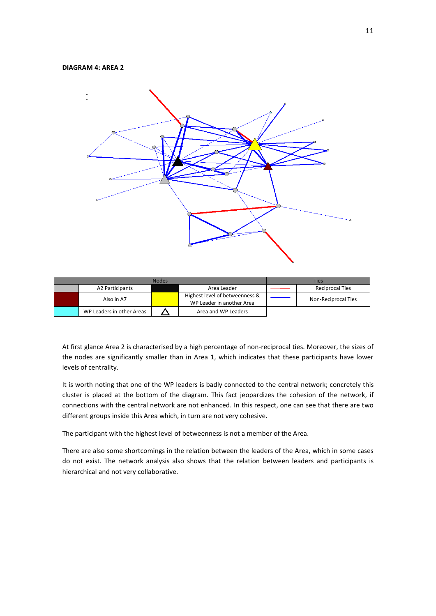### **DIAGRAM 4: AREA 2**



| Nodes |                           |  |                                                             |  | Ties                       |
|-------|---------------------------|--|-------------------------------------------------------------|--|----------------------------|
|       | A2 Participants           |  | Area Leader                                                 |  | <b>Reciprocal Ties</b>     |
|       | Also in A7                |  | Highest level of betweenness &<br>WP Leader in another Area |  | <b>Non-Reciprocal Ties</b> |
|       | WP Leaders in other Areas |  | Area and WP Leaders                                         |  |                            |

At first glance Area 2 is characterised by a high percentage of non-reciprocal ties. Moreover, the sizes of the nodes are significantly smaller than in Area 1, which indicates that these participants have lower levels of centrality.

It is worth noting that one of the WP leaders is badly connected to the central network; concretely this cluster is placed at the bottom of the diagram. This fact jeopardizes the cohesion of the network, if connections with the central network are not enhanced. In this respect, one can see that there are two different groups inside this Area which, in turn are not very cohesive.

The participant with the highest level of betweenness is not a member of the Area.

There are also some shortcomings in the relation between the leaders of the Area, which in some cases do not exist. The network analysis also shows that the relation between leaders and participants is hierarchical and not very collaborative.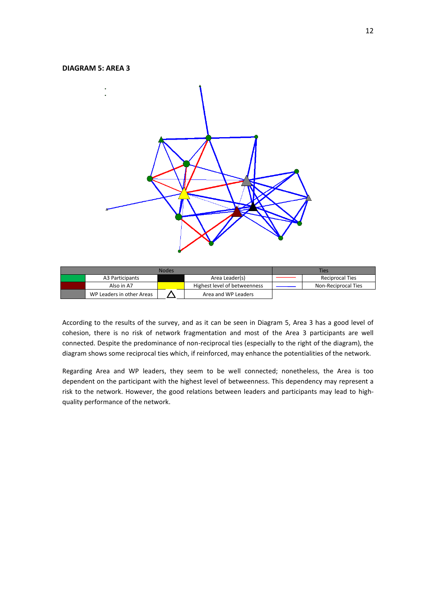### **DIAGRAM 5: AREA 3**



| <b>Nodes</b> |                           |  |                              |  | Ties                   |
|--------------|---------------------------|--|------------------------------|--|------------------------|
|              | A3 Participants           |  | Area Leader(s)               |  | <b>Reciprocal Ties</b> |
|              | Also in A7                |  | Highest level of betweenness |  | Non-Reciprocal Ties    |
|              | WP Leaders in other Areas |  | Area and WP Leaders          |  |                        |

According to the results of the survey, and as it can be seen in Diagram 5, Area 3 has a good level of cohesion, there is no risk of network fragmentation and most of the Area 3 participants are well connected. Despite the predominance of non-reciprocal ties (especially to the right of the diagram), the diagram shows some reciprocal ties which, if reinforced, may enhance the potentialities of the network.

Regarding Area and WP leaders, they seem to be well connected; nonetheless, the Area is too dependent on the participant with the highest level of betweenness. This dependency may represent a risk to the network. However, the good relations between leaders and participants may lead to highquality performance of the network.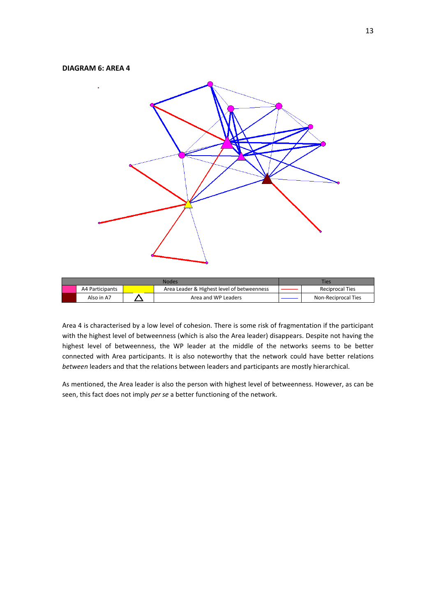### **DIAGRAM 6: AREA 4**



|                 | <b>Ties</b>                                |                        |
|-----------------|--------------------------------------------|------------------------|
| A4 Participants | Area Leader & Highest level of betweenness | <b>Reciprocal Ties</b> |
| Also in A7      | Area and WP Leaders                        | Non-Reciprocal Ties    |

Area 4 is characterised by a low level of cohesion. There is some risk of fragmentation if the participant with the highest level of betweenness (which is also the Area leader) disappears. Despite not having the highest level of betweenness, the WP leader at the middle of the networks seems to be better connected with Area participants. It is also noteworthy that the network could have better relations *between* leaders and that the relations between leaders and participants are mostly hierarchical.

As mentioned, the Area leader is also the person with highest level of betweenness. However, as can be seen, this fact does not imply *per se* a better functioning of the network.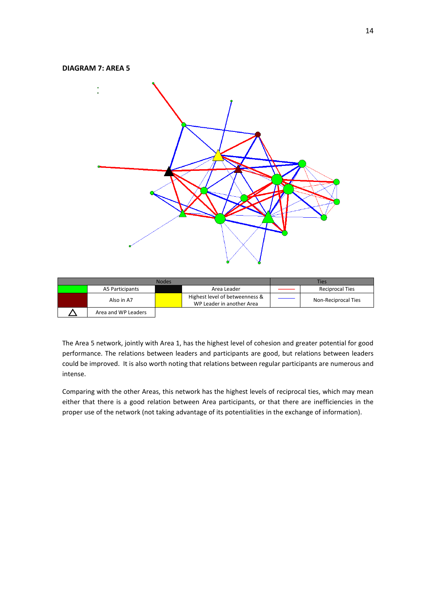### **DIAGRAM 7: AREA 5**



| <b>Nodes</b> |                     |  |                                                             |  | Ties                   |
|--------------|---------------------|--|-------------------------------------------------------------|--|------------------------|
|              | A5 Participants     |  | Area Leader                                                 |  | <b>Reciprocal Ties</b> |
|              | Also in A7          |  | Highest level of betweenness &<br>WP Leader in another Area |  | Non-Reciprocal Ties    |
|              | Area and WP Leaders |  |                                                             |  |                        |

The Area 5 network, jointly with Area 1, has the highest level of cohesion and greater potential for good performance. The relations between leaders and participants are good, but relations between leaders could be improved. It is also worth noting that relations between regular participants are numerous and intense.

Comparing with the other Areas, this network has the highest levels of reciprocal ties, which may mean either that there is a good relation between Area participants, or that there are inefficiencies in the proper use of the network (not taking advantage of its potentialities in the exchange of information).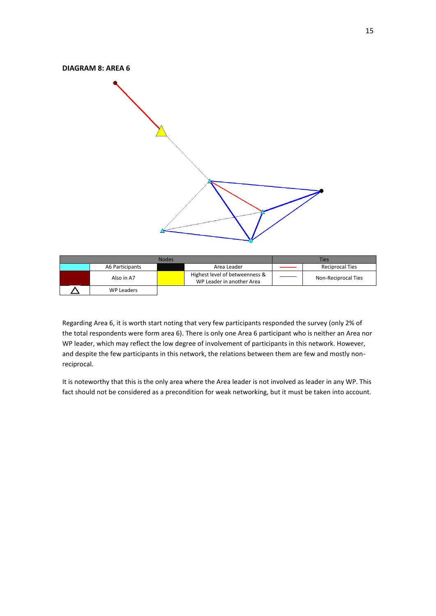

| <b>Nodes</b> |                 |  |                                                             |  | Ties                   |
|--------------|-----------------|--|-------------------------------------------------------------|--|------------------------|
|              | A6 Participants |  | Area Leader                                                 |  | <b>Reciprocal Ties</b> |
|              | Also in A7      |  | Highest level of betweenness &<br>WP Leader in another Area |  | Non-Reciprocal Ties    |
|              | WP Leaders      |  |                                                             |  |                        |

Regarding Area 6, it is worth start noting that very few participants responded the survey (only 2% of the total respondents were form area 6). There is only one Area 6 participant who is neither an Area nor WP leader, which may reflect the low degree of involvement of participants in this network. However, and despite the few participants in this network, the relations between them are few and mostly nonreciprocal.

It is noteworthy that this is the only area where the Area leader is not involved as leader in any WP. This fact should not be considered as a precondition for weak networking, but it must be taken into account.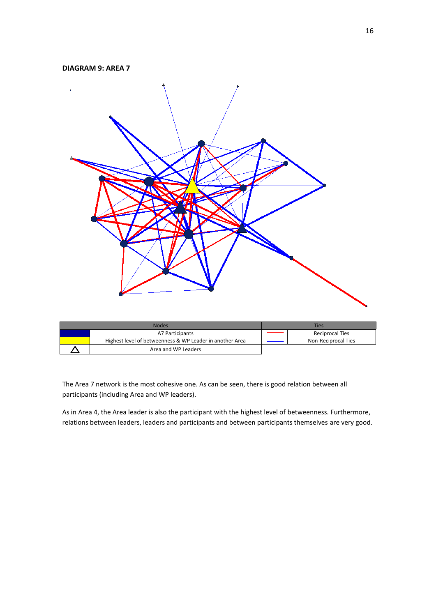### **DIAGRAM 9: AREA 7**



| Nodes                                                    | Ties |                        |  |
|----------------------------------------------------------|------|------------------------|--|
| A7 Participants                                          |      | <b>Reciprocal Ties</b> |  |
| Highest level of betweenness & WP Leader in another Area |      | Non-Reciprocal Ties    |  |
| Area and WP Leaders                                      |      |                        |  |

The Area 7 network is the most cohesive one. As can be seen, there is good relation between all participants (including Area and WP leaders).

As in Area 4, the Area leader is also the participant with the highest level of betweenness. Furthermore, relations between leaders, leaders and participants and between participants themselves are very good.